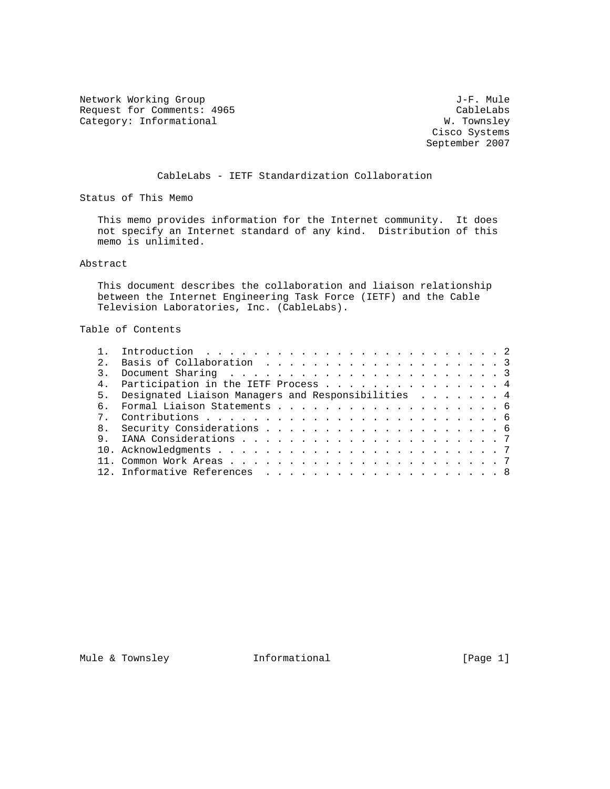Network Working Group 30 and 1990 and 1990 and 1990 and 1990 and 1990 and 1990 and 1990 and 1990 and 1990 and 1 Request for Comments: 4965 CableLabs<br>
CableLabs Category: Informational W. Townsley Category: Informational

 Cisco Systems September 2007

CableLabs - IETF Standardization Collaboration

Status of This Memo

 This memo provides information for the Internet community. It does not specify an Internet standard of any kind. Distribution of this memo is unlimited.

Abstract

 This document describes the collaboration and liaison relationship between the Internet Engineering Task Force (IETF) and the Cable Television Laboratories, Inc. (CableLabs).

Table of Contents

| $\overline{2}$ |                                                       |  |
|----------------|-------------------------------------------------------|--|
|                |                                                       |  |
|                | 4. Participation in the IETF Process 4                |  |
|                | 5. Designated Liaison Managers and Responsibilities 4 |  |
|                |                                                       |  |
|                |                                                       |  |
|                |                                                       |  |
| q,             |                                                       |  |
|                |                                                       |  |
|                |                                                       |  |
|                |                                                       |  |
|                |                                                       |  |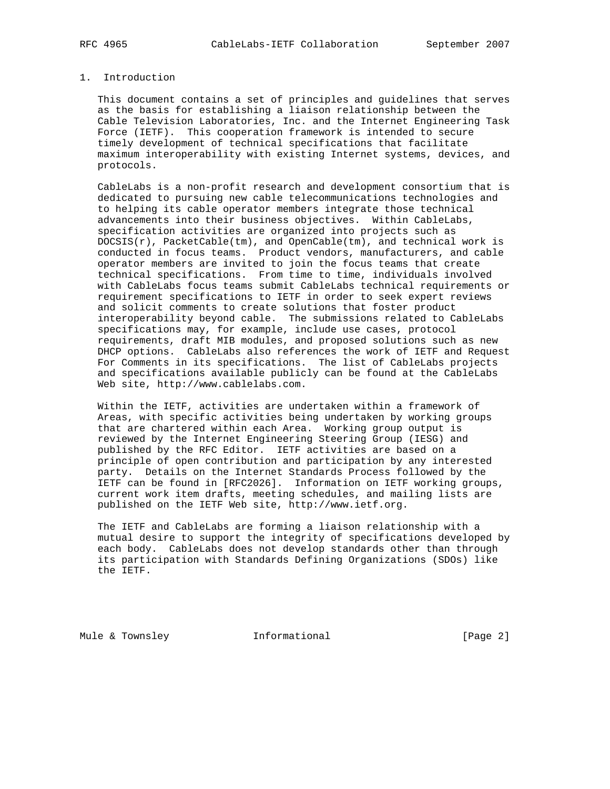## 1. Introduction

 This document contains a set of principles and guidelines that serves as the basis for establishing a liaison relationship between the Cable Television Laboratories, Inc. and the Internet Engineering Task Force (IETF). This cooperation framework is intended to secure timely development of technical specifications that facilitate maximum interoperability with existing Internet systems, devices, and protocols.

 CableLabs is a non-profit research and development consortium that is dedicated to pursuing new cable telecommunications technologies and to helping its cable operator members integrate those technical advancements into their business objectives. Within CableLabs, specification activities are organized into projects such as  $DOCSIS(r)$ , PacketCable(tm), and OpenCable(tm), and technical work is conducted in focus teams. Product vendors, manufacturers, and cable operator members are invited to join the focus teams that create technical specifications. From time to time, individuals involved with CableLabs focus teams submit CableLabs technical requirements or requirement specifications to IETF in order to seek expert reviews and solicit comments to create solutions that foster product interoperability beyond cable. The submissions related to CableLabs specifications may, for example, include use cases, protocol requirements, draft MIB modules, and proposed solutions such as new DHCP options. CableLabs also references the work of IETF and Request For Comments in its specifications. The list of CableLabs projects and specifications available publicly can be found at the CableLabs Web site, http://www.cablelabs.com.

 Within the IETF, activities are undertaken within a framework of Areas, with specific activities being undertaken by working groups that are chartered within each Area. Working group output is reviewed by the Internet Engineering Steering Group (IESG) and published by the RFC Editor. IETF activities are based on a principle of open contribution and participation by any interested party. Details on the Internet Standards Process followed by the IETF can be found in [RFC2026]. Information on IETF working groups, current work item drafts, meeting schedules, and mailing lists are published on the IETF Web site, http://www.ietf.org.

 The IETF and CableLabs are forming a liaison relationship with a mutual desire to support the integrity of specifications developed by each body. CableLabs does not develop standards other than through its participation with Standards Defining Organizations (SDOs) like the IETF.

Mule & Townsley **Informational** [Page 2]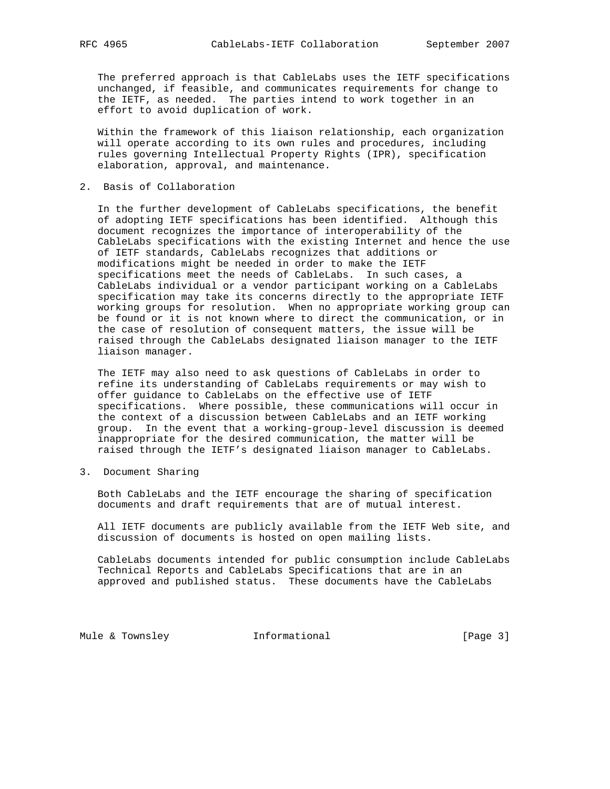The preferred approach is that CableLabs uses the IETF specifications unchanged, if feasible, and communicates requirements for change to the IETF, as needed. The parties intend to work together in an effort to avoid duplication of work.

 Within the framework of this liaison relationship, each organization will operate according to its own rules and procedures, including rules governing Intellectual Property Rights (IPR), specification elaboration, approval, and maintenance.

2. Basis of Collaboration

 In the further development of CableLabs specifications, the benefit of adopting IETF specifications has been identified. Although this document recognizes the importance of interoperability of the CableLabs specifications with the existing Internet and hence the use of IETF standards, CableLabs recognizes that additions or modifications might be needed in order to make the IETF specifications meet the needs of CableLabs. In such cases, a CableLabs individual or a vendor participant working on a CableLabs specification may take its concerns directly to the appropriate IETF working groups for resolution. When no appropriate working group can be found or it is not known where to direct the communication, or in the case of resolution of consequent matters, the issue will be raised through the CableLabs designated liaison manager to the IETF liaison manager.

 The IETF may also need to ask questions of CableLabs in order to refine its understanding of CableLabs requirements or may wish to offer guidance to CableLabs on the effective use of IETF specifications. Where possible, these communications will occur in the context of a discussion between CableLabs and an IETF working group. In the event that a working-group-level discussion is deemed inappropriate for the desired communication, the matter will be raised through the IETF's designated liaison manager to CableLabs.

3. Document Sharing

 Both CableLabs and the IETF encourage the sharing of specification documents and draft requirements that are of mutual interest.

 All IETF documents are publicly available from the IETF Web site, and discussion of documents is hosted on open mailing lists.

 CableLabs documents intended for public consumption include CableLabs Technical Reports and CableLabs Specifications that are in an approved and published status. These documents have the CableLabs

Mule & Townsley **Informational** [Page 3]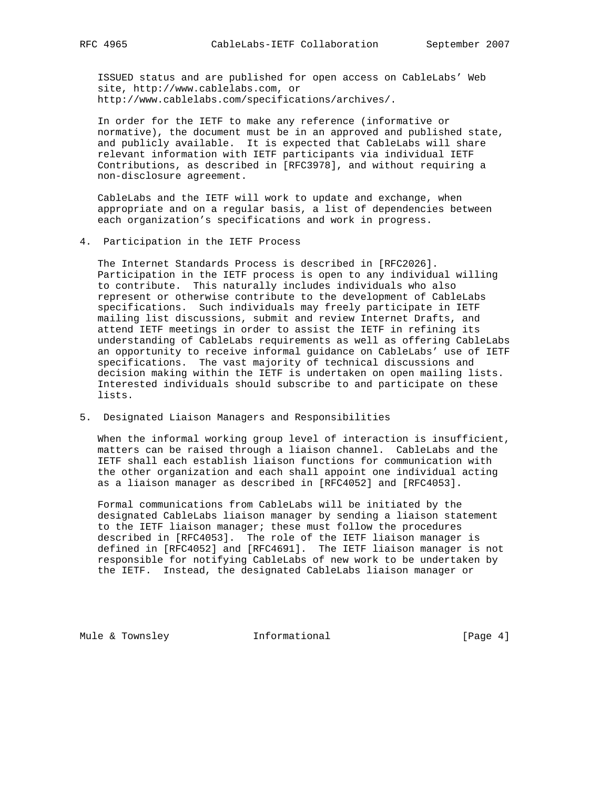ISSUED status and are published for open access on CableLabs' Web site, http://www.cablelabs.com, or http://www.cablelabs.com/specifications/archives/.

 In order for the IETF to make any reference (informative or normative), the document must be in an approved and published state, and publicly available. It is expected that CableLabs will share relevant information with IETF participants via individual IETF Contributions, as described in [RFC3978], and without requiring a non-disclosure agreement.

 CableLabs and the IETF will work to update and exchange, when appropriate and on a regular basis, a list of dependencies between each organization's specifications and work in progress.

### 4. Participation in the IETF Process

 The Internet Standards Process is described in [RFC2026]. Participation in the IETF process is open to any individual willing to contribute. This naturally includes individuals who also represent or otherwise contribute to the development of CableLabs specifications. Such individuals may freely participate in IETF mailing list discussions, submit and review Internet Drafts, and attend IETF meetings in order to assist the IETF in refining its understanding of CableLabs requirements as well as offering CableLabs an opportunity to receive informal guidance on CableLabs' use of IETF specifications. The vast majority of technical discussions and decision making within the IETF is undertaken on open mailing lists. Interested individuals should subscribe to and participate on these lists.

## 5. Designated Liaison Managers and Responsibilities

 When the informal working group level of interaction is insufficient, matters can be raised through a liaison channel. CableLabs and the IETF shall each establish liaison functions for communication with the other organization and each shall appoint one individual acting as a liaison manager as described in [RFC4052] and [RFC4053].

 Formal communications from CableLabs will be initiated by the designated CableLabs liaison manager by sending a liaison statement to the IETF liaison manager; these must follow the procedures described in [RFC4053]. The role of the IETF liaison manager is defined in [RFC4052] and [RFC4691]. The IETF liaison manager is not responsible for notifying CableLabs of new work to be undertaken by the IETF. Instead, the designated CableLabs liaison manager or

Mule & Townsley **Informational** [Page 4]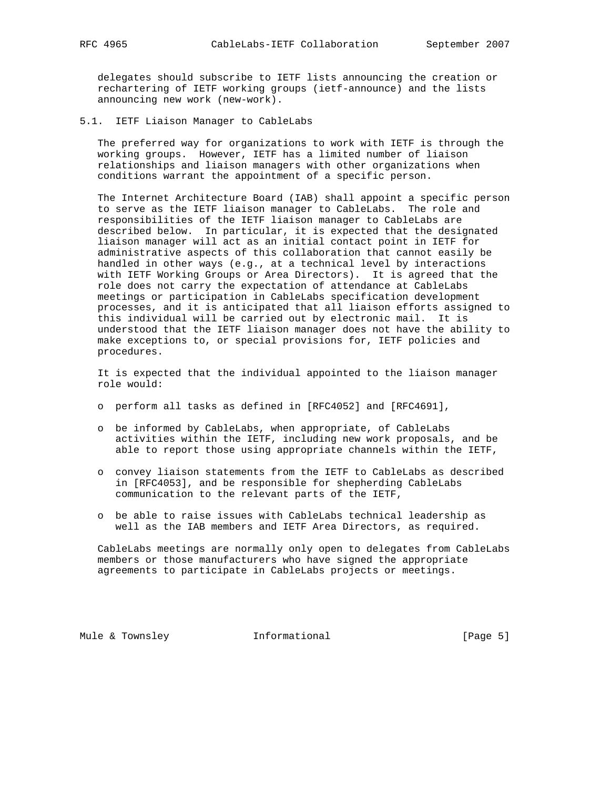delegates should subscribe to IETF lists announcing the creation or rechartering of IETF working groups (ietf-announce) and the lists announcing new work (new-work).

5.1. IETF Liaison Manager to CableLabs

 The preferred way for organizations to work with IETF is through the working groups. However, IETF has a limited number of liaison relationships and liaison managers with other organizations when conditions warrant the appointment of a specific person.

 The Internet Architecture Board (IAB) shall appoint a specific person to serve as the IETF liaison manager to CableLabs. The role and responsibilities of the IETF liaison manager to CableLabs are described below. In particular, it is expected that the designated liaison manager will act as an initial contact point in IETF for administrative aspects of this collaboration that cannot easily be handled in other ways (e.g., at a technical level by interactions with IETF Working Groups or Area Directors). It is agreed that the role does not carry the expectation of attendance at CableLabs meetings or participation in CableLabs specification development processes, and it is anticipated that all liaison efforts assigned to this individual will be carried out by electronic mail. It is understood that the IETF liaison manager does not have the ability to make exceptions to, or special provisions for, IETF policies and procedures.

 It is expected that the individual appointed to the liaison manager role would:

- o perform all tasks as defined in [RFC4052] and [RFC4691],
- o be informed by CableLabs, when appropriate, of CableLabs activities within the IETF, including new work proposals, and be able to report those using appropriate channels within the IETF,
- o convey liaison statements from the IETF to CableLabs as described in [RFC4053], and be responsible for shepherding CableLabs communication to the relevant parts of the IETF,
- o be able to raise issues with CableLabs technical leadership as well as the IAB members and IETF Area Directors, as required.

 CableLabs meetings are normally only open to delegates from CableLabs members or those manufacturers who have signed the appropriate agreements to participate in CableLabs projects or meetings.

Mule & Townsley **Informational** [Page 5]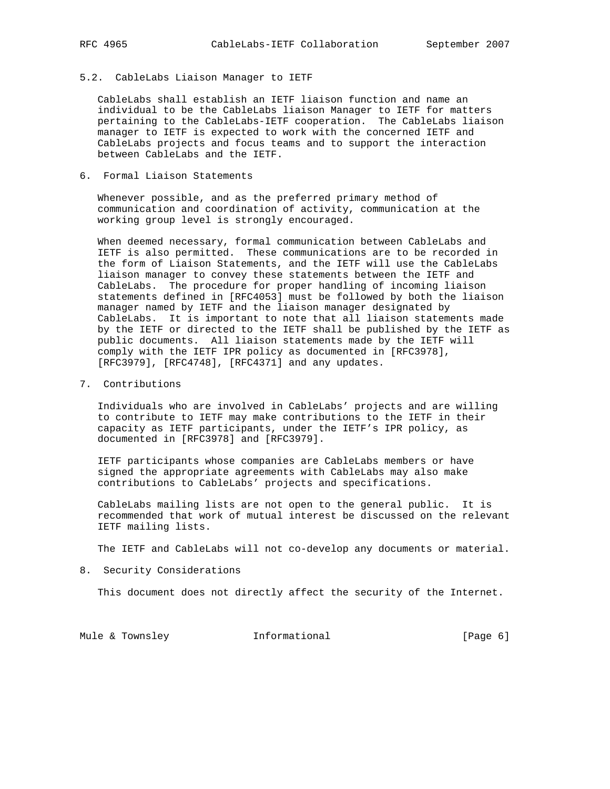## 5.2. CableLabs Liaison Manager to IETF

 CableLabs shall establish an IETF liaison function and name an individual to be the CableLabs liaison Manager to IETF for matters pertaining to the CableLabs-IETF cooperation. The CableLabs liaison manager to IETF is expected to work with the concerned IETF and CableLabs projects and focus teams and to support the interaction between CableLabs and the IETF.

## 6. Formal Liaison Statements

 Whenever possible, and as the preferred primary method of communication and coordination of activity, communication at the working group level is strongly encouraged.

 When deemed necessary, formal communication between CableLabs and IETF is also permitted. These communications are to be recorded in the form of Liaison Statements, and the IETF will use the CableLabs liaison manager to convey these statements between the IETF and CableLabs. The procedure for proper handling of incoming liaison statements defined in [RFC4053] must be followed by both the liaison manager named by IETF and the liaison manager designated by CableLabs. It is important to note that all liaison statements made by the IETF or directed to the IETF shall be published by the IETF as public documents. All liaison statements made by the IETF will comply with the IETF IPR policy as documented in [RFC3978], [RFC3979], [RFC4748], [RFC4371] and any updates.

7. Contributions

 Individuals who are involved in CableLabs' projects and are willing to contribute to IETF may make contributions to the IETF in their capacity as IETF participants, under the IETF's IPR policy, as documented in [RFC3978] and [RFC3979].

 IETF participants whose companies are CableLabs members or have signed the appropriate agreements with CableLabs may also make contributions to CableLabs' projects and specifications.

 CableLabs mailing lists are not open to the general public. It is recommended that work of mutual interest be discussed on the relevant IETF mailing lists.

The IETF and CableLabs will not co-develop any documents or material.

8. Security Considerations

This document does not directly affect the security of the Internet.

Mule & Townsley **Informational** [Page 6]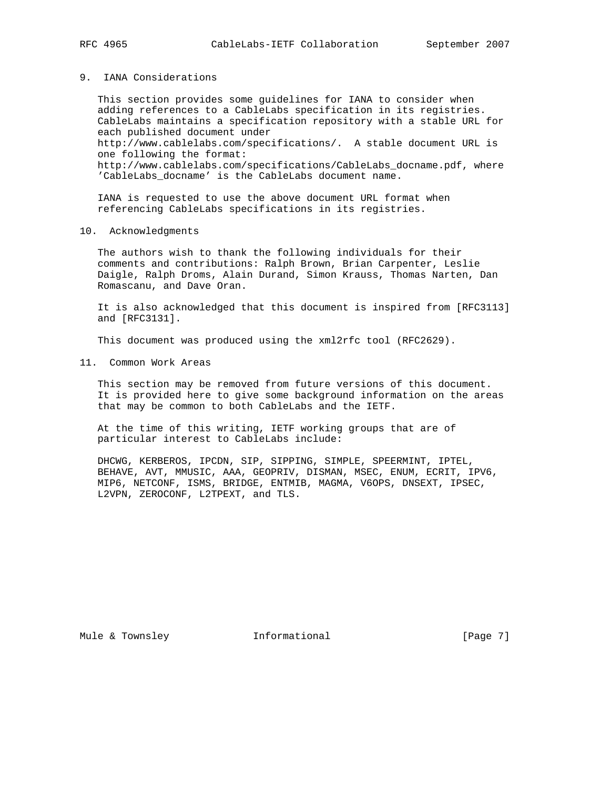#### 9. IANA Considerations

 This section provides some guidelines for IANA to consider when adding references to a CableLabs specification in its registries. CableLabs maintains a specification repository with a stable URL for each published document under http://www.cablelabs.com/specifications/. A stable document URL is one following the format: http://www.cablelabs.com/specifications/CableLabs\_docname.pdf, where 'CableLabs\_docname' is the CableLabs document name.

 IANA is requested to use the above document URL format when referencing CableLabs specifications in its registries.

## 10. Acknowledgments

 The authors wish to thank the following individuals for their comments and contributions: Ralph Brown, Brian Carpenter, Leslie Daigle, Ralph Droms, Alain Durand, Simon Krauss, Thomas Narten, Dan Romascanu, and Dave Oran.

 It is also acknowledged that this document is inspired from [RFC3113] and [RFC3131].

This document was produced using the xml2rfc tool (RFC2629).

11. Common Work Areas

 This section may be removed from future versions of this document. It is provided here to give some background information on the areas that may be common to both CableLabs and the IETF.

 At the time of this writing, IETF working groups that are of particular interest to CableLabs include:

 DHCWG, KERBEROS, IPCDN, SIP, SIPPING, SIMPLE, SPEERMINT, IPTEL, BEHAVE, AVT, MMUSIC, AAA, GEOPRIV, DISMAN, MSEC, ENUM, ECRIT, IPV6, MIP6, NETCONF, ISMS, BRIDGE, ENTMIB, MAGMA, V6OPS, DNSEXT, IPSEC, L2VPN, ZEROCONF, L2TPEXT, and TLS.

Mule & Townsley **Informational** [Page 7]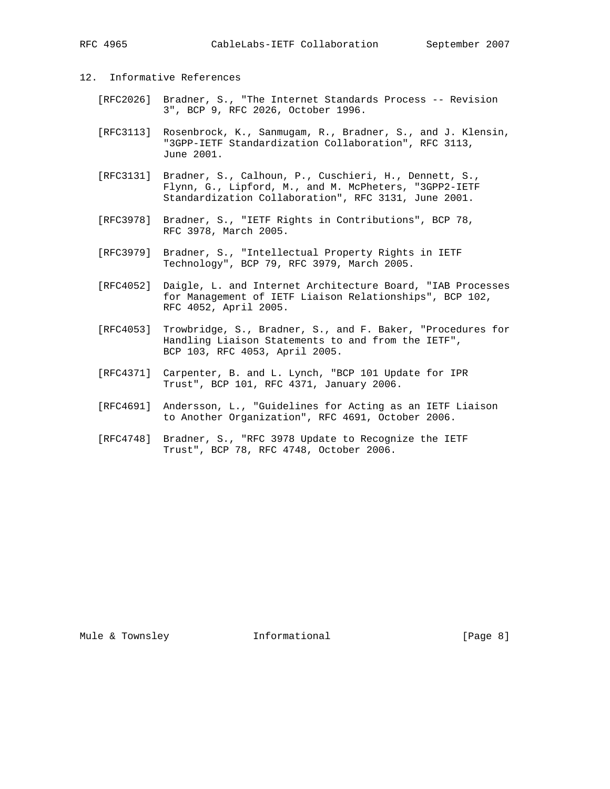# 12. Informative References

- [RFC2026] Bradner, S., "The Internet Standards Process -- Revision 3", BCP 9, RFC 2026, October 1996.
- [RFC3113] Rosenbrock, K., Sanmugam, R., Bradner, S., and J. Klensin, "3GPP-IETF Standardization Collaboration", RFC 3113, June 2001.
- [RFC3131] Bradner, S., Calhoun, P., Cuschieri, H., Dennett, S., Flynn, G., Lipford, M., and M. McPheters, "3GPP2-IETF Standardization Collaboration", RFC 3131, June 2001.
- [RFC3978] Bradner, S., "IETF Rights in Contributions", BCP 78, RFC 3978, March 2005.
- [RFC3979] Bradner, S., "Intellectual Property Rights in IETF Technology", BCP 79, RFC 3979, March 2005.
- [RFC4052] Daigle, L. and Internet Architecture Board, "IAB Processes for Management of IETF Liaison Relationships", BCP 102, RFC 4052, April 2005.
- [RFC4053] Trowbridge, S., Bradner, S., and F. Baker, "Procedures for Handling Liaison Statements to and from the IETF", BCP 103, RFC 4053, April 2005.
- [RFC4371] Carpenter, B. and L. Lynch, "BCP 101 Update for IPR Trust", BCP 101, RFC 4371, January 2006.
- [RFC4691] Andersson, L., "Guidelines for Acting as an IETF Liaison to Another Organization", RFC 4691, October 2006.
- [RFC4748] Bradner, S., "RFC 3978 Update to Recognize the IETF Trust", BCP 78, RFC 4748, October 2006.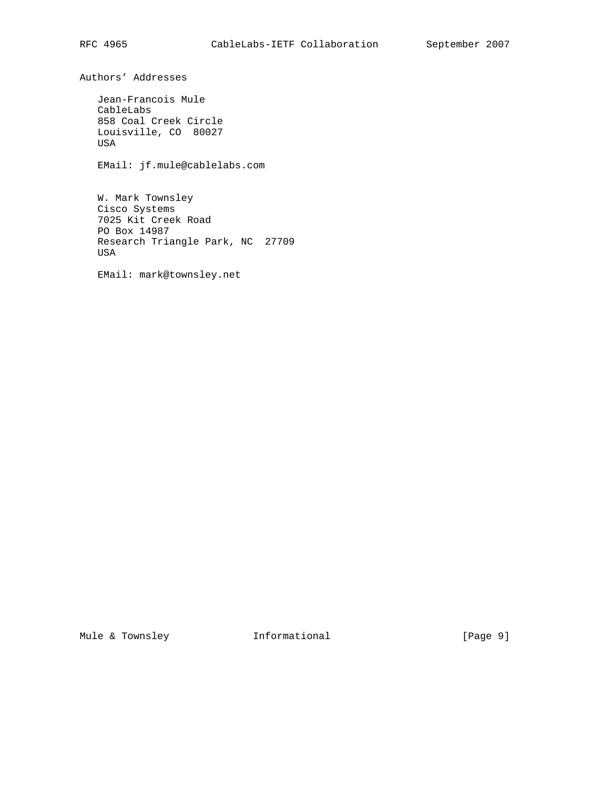Authors' Addresses

 Jean-Francois Mule CableLabs 858 Coal Creek Circle Louisville, CO 80027 USA

EMail: jf.mule@cablelabs.com

 W. Mark Townsley Cisco Systems 7025 Kit Creek Road PO Box 14987 Research Triangle Park, NC 27709 USA

EMail: mark@townsley.net